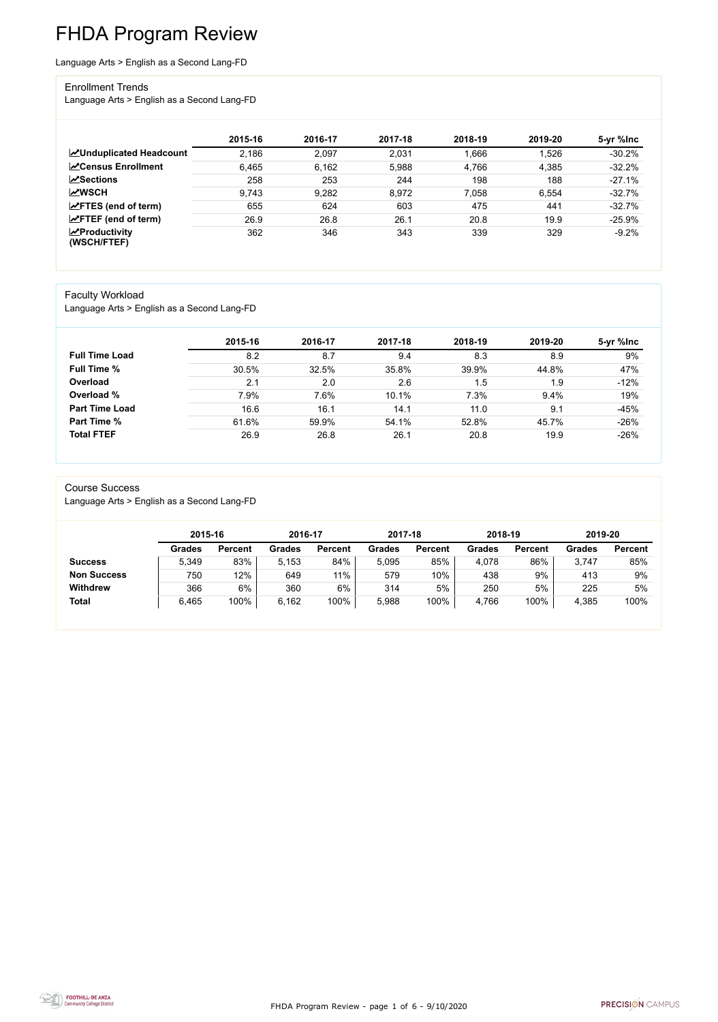FHDA Program Review - page 1 of 6 - 9/10/2020



# FHDA Program Review

Language Arts > English as a Second Lang-FD

### Enrollment Trends

Language Arts > English as a Second Lang-FD

|                                                  | 2015-16 | 2016-17 | 2017-18 | 2018-19 | 2019-20 | 5-yr %lnc |
|--------------------------------------------------|---------|---------|---------|---------|---------|-----------|
| <b>ZUnduplicated Headcount</b>                   | 2,186   | 2,097   | 2,031   | 1,666   | 1,526   | $-30.2%$  |
| <b>ZCensus Enrollment</b>                        | 6,465   | 6,162   | 5,988   | 4,766   | 4,385   | $-32.2%$  |
| <b>ZSections</b>                                 | 258     | 253     | 244     | 198     | 188     | $-27.1%$  |
| <b>MWSCH</b>                                     | 9,743   | 9,282   | 8,972   | 7,058   | 6,554   | $-32.7%$  |
| $\angle$ FTES (end of term)                      | 655     | 624     | 603     | 475     | 441     | $-32.7%$  |
| $\angle$ FTEF (end of term)                      | 26.9    | 26.8    | 26.1    | 20.8    | 19.9    | $-25.9%$  |
| $\sqrt{\frac{1}{2}}$ Productivity<br>(WSCH/FTEF) | 362     | 346     | 343     | 339     | 329     | $-9.2%$   |

### Faculty Workload

Language Arts > English as a Second Lang-FD

|                       | 2015-16 | 2016-17 | 2017-18 | 2018-19 | 2019-20 | 5-yr %lnc |
|-----------------------|---------|---------|---------|---------|---------|-----------|
| <b>Full Time Load</b> | 8.2     | 8.7     | 9.4     | 8.3     | 8.9     | 9%        |
| <b>Full Time %</b>    | 30.5%   | 32.5%   | 35.8%   | 39.9%   | 44.8%   | 47%       |
| Overload              | 2.1     | 2.0     | 2.6     | 1.5     | 1.9     | $-12%$    |
| Overload %            | 7.9%    | 7.6%    | 10.1%   | 7.3%    | 9.4%    | 19%       |
| <b>Part Time Load</b> | 16.6    | 16.1    | 14.1    | 11.0    | 9.1     | $-45%$    |
| <b>Part Time %</b>    | 61.6%   | 59.9%   | 54.1%   | 52.8%   | 45.7%   | $-26%$    |
| <b>Total FTEF</b>     | 26.9    | 26.8    | 26.1    | 20.8    | 19.9    | $-26%$    |

#### Course Success

Language Arts > English as a Second Lang-FD

|                    | 2015-16       |                | 2016-17       |                | 2017-18 |                | 2018-19       |                | 2019-20 |                |
|--------------------|---------------|----------------|---------------|----------------|---------|----------------|---------------|----------------|---------|----------------|
|                    | <b>Grades</b> | <b>Percent</b> | <b>Grades</b> | <b>Percent</b> | Grades  | <b>Percent</b> | <b>Grades</b> | <b>Percent</b> | Grades  | <b>Percent</b> |
| <b>Success</b>     | 5,349         | 83%            | 5.153         | 84%            | 5.095   | 85%            | 4,078         | 86%            | 3,747   | 85%            |
| <b>Non Success</b> | 750           | 12%            | 649           | 11%            | 579     | 10%            | 438           | 9%             | 413     | 9%             |
| <b>Withdrew</b>    | 366           | 6%             | 360           | 6%             | 314     | 5%             | 250           | 5%             | 225     | 5%             |
| <b>Total</b>       | 6,465         | 100%           | 6,162         | 100%           | 5,988   | 100%           | 4,766         | 100%           | 4,385   | 100%           |

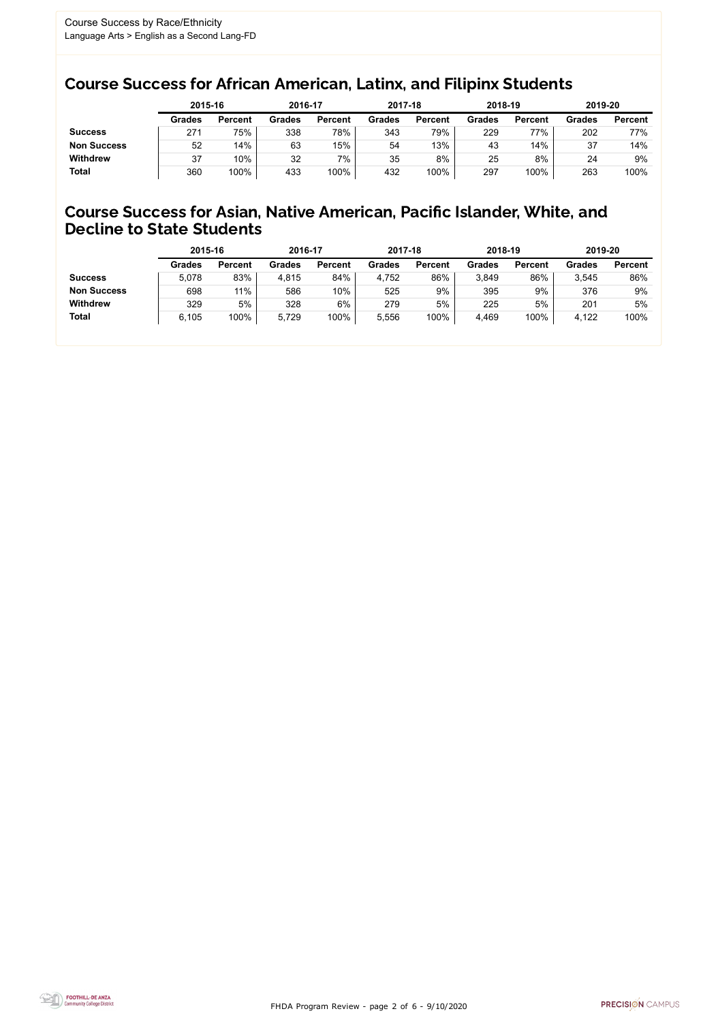FHDA Program Review - page 2 of 6 - 9/10/2020



### Course Success for African American, Latinx, and Filipinx Students

### Course Success for Asian, Native American, Pacific Islander, White, and Decline to State Students

|                    |               | 2015-16        |               | 2016-17        |               | 2017-18        | 2018-19       |                | 2019-20 |                |
|--------------------|---------------|----------------|---------------|----------------|---------------|----------------|---------------|----------------|---------|----------------|
|                    | <b>Grades</b> | <b>Percent</b> | <b>Grades</b> | <b>Percent</b> | <b>Grades</b> | <b>Percent</b> | <b>Grades</b> | <b>Percent</b> | Grades  | <b>Percent</b> |
| <b>Success</b>     | 271           | 75%            | 338           | 78%            | 343           | 79%            | 229           | 77%            | 202     | 77%            |
| <b>Non Success</b> | 52            | 14%            | 63            | 15%            | 54            | 13%            | 43            | 14%            | 37      | 14%            |
| <b>Withdrew</b>    | 37            | 10%            | 32            | 7%             | 35            | 8%             | 25            | 8%             | 24      | 9%             |
| Total              | 360           | 100%           | 433           | 100%           | 432           | 100%           | 297           | 100%           | 263     | 100%           |

|                    | 2015-16       |                | 2016-17       |                | 2017-18       |                | 2018-19       |                | 2019-20       |                |
|--------------------|---------------|----------------|---------------|----------------|---------------|----------------|---------------|----------------|---------------|----------------|
|                    | <b>Grades</b> | <b>Percent</b> | <b>Grades</b> | <b>Percent</b> | <b>Grades</b> | <b>Percent</b> | <b>Grades</b> | <b>Percent</b> | <b>Grades</b> | <b>Percent</b> |
| <b>Success</b>     | 5,078         | 83%            | 4,815         | 84%            | 4,752         | 86%            | 3,849         | 86%            | 3,545         | 86%            |
| <b>Non Success</b> | 698           | 11%            | 586           | 10%            | 525           | 9%             | 395           | 9%             | 376           | 9%             |
| <b>Withdrew</b>    | 329           | 5%             | 328           | 6%             | 279           | 5%             | 225           | 5%             | 201           | 5%             |
| <b>Total</b>       | 6,105         | 100%           | 5,729         | 100%           | 5,556         | 100%           | 4,469         | 100%           | 4,122         | 100%           |
|                    |               |                |               |                |               |                |               |                |               |                |

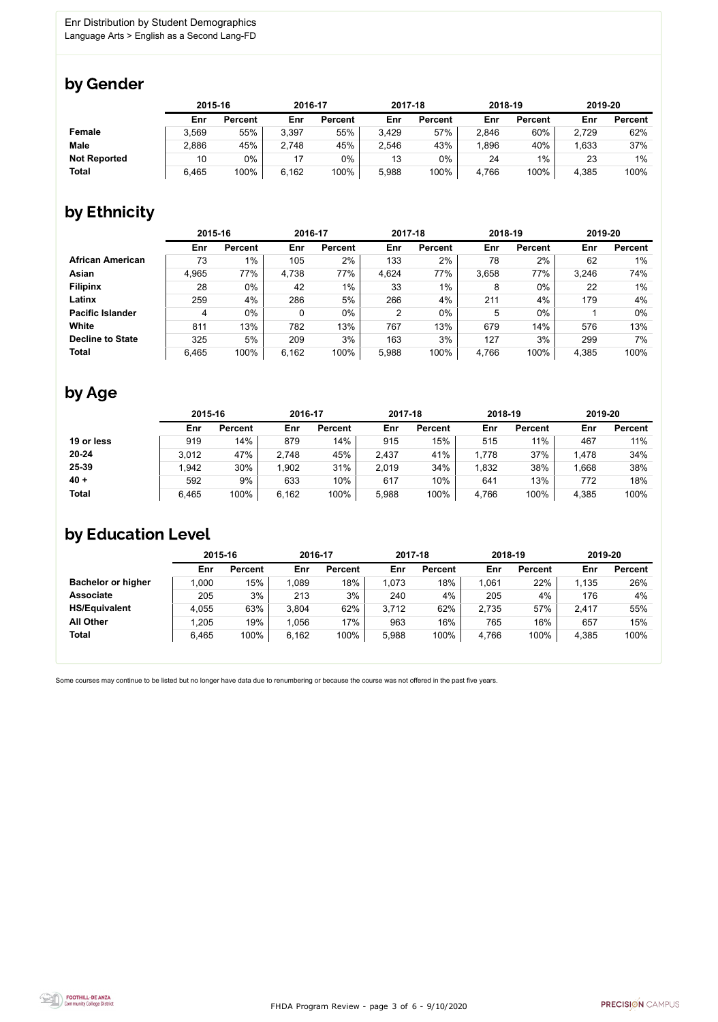FHDA Program Review - page 3 of 6 - 9/10/2020



Some courses may continue to be listed but no longer have data due to renumbering or because the course was not offered in the past five years.



### by Gender

|                     | 2015-16 |                | 2016-17 |                | 2017-18 |                | 2018-19 |                | 2019-20 |                |
|---------------------|---------|----------------|---------|----------------|---------|----------------|---------|----------------|---------|----------------|
|                     | Enr     | <b>Percent</b> | Enr     | <b>Percent</b> | Enr     | <b>Percent</b> | Enr     | <b>Percent</b> | Enr     | <b>Percent</b> |
| <b>Female</b>       | 3,569   | 55%            | 3,397   | 55%            | 3,429   | 57%            | 2,846   | 60%            | 2,729   | 62%            |
| <b>Male</b>         | 2,886   | 45%            | 2,748   | 45%            | 2,546   | 43%            | .896    | 40%            | 1,633   | 37%            |
| <b>Not Reported</b> | 10      | 0%             |         | $0\%$          | 13      | 0%             | 24      | $1\%$          | 23      | 1%             |
| <b>Total</b>        | 6,465   | 100%           | 6,162   | 100%           | 5,988   | 100%           | 4,766   | 100%           | 4,385   | 100%           |

# by Ethnicity

|                         | 2015-16 |                |       | 2016-17        |       | 2017-18        | 2018-19 |                | 2019-20 |                |
|-------------------------|---------|----------------|-------|----------------|-------|----------------|---------|----------------|---------|----------------|
|                         | Enr     | <b>Percent</b> | Enr   | <b>Percent</b> | Enr   | <b>Percent</b> | Enr     | <b>Percent</b> | Enr     | <b>Percent</b> |
| <b>African American</b> | 73      | 1%             | 105   | 2%             | 133   | 2%             | 78      | 2%             | 62      | 1%             |
| Asian                   | 4,965   | 77%            | 4,738 | 77%            | 4,624 | 77%            | 3,658   | 77%            | 3,246   | 74%            |
| <b>Filipinx</b>         | 28      | $0\%$          | 42    | $1\%$          | 33    | $1\%$          | 8       | $0\%$          | 22      | $1\%$          |
| Latinx                  | 259     | 4%             | 286   | 5%             | 266   | 4%             | 211     | 4%             | 179     | 4%             |
| <b>Pacific Islander</b> | 4       | $0\%$          |       | $0\%$          | 2     | 0%             | 5       | $0\%$          |         | $0\%$          |
| White                   | 811     | 13%            | 782   | 13%            | 767   | 13%            | 679     | 14%            | 576     | 13%            |
| <b>Decline to State</b> | 325     | 5%             | 209   | 3%             | 163   | 3%             | 127     | 3%             | 299     | $7\%$          |
| <b>Total</b>            | 6,465   | 100%           | 6,162 | 100%           | 5,988 | 100%           | 4,766   | 100%           | 4,385   | 100%           |

# by Age

|              | 2015-16 |                | 2016-17 |                | 2017-18 |                | 2018-19 |                | 2019-20 |                |
|--------------|---------|----------------|---------|----------------|---------|----------------|---------|----------------|---------|----------------|
|              | Enr     | <b>Percent</b> | Enr     | <b>Percent</b> | Enr     | <b>Percent</b> | Enr     | <b>Percent</b> | Enr     | <b>Percent</b> |
| 19 or less   | 919     | 14%            | 879     | 14%            | 915     | 15%            | 515     | 11%            | 467     | 11%            |
| $20 - 24$    | 3,012   | 47%            | 2,748   | 45%            | 2,437   | 41%            | 1,778   | 37%            | 1,478   | 34%            |
| 25-39        | ,942    | 30%            | 1,902   | 31%            | 2,019   | 34%            | 1,832   | 38%            | 1,668   | 38%            |
| $40 +$       | 592     | 9%             | 633     | 10%            | 617     | 10%            | 641     | 13%            | 772     | 18%            |
| <b>Total</b> | 6,465   | 100%           | 6.162   | 100%           | 5,988   | 100%           | 4,766   | 100%           | 4,385   | 100%           |

### by Education Level

|                           | 2015-16 |                | 2016-17 |                | 2017-18 |                | 2018-19 |                | 2019-20 |                |
|---------------------------|---------|----------------|---------|----------------|---------|----------------|---------|----------------|---------|----------------|
|                           | Enr     | <b>Percent</b> | Enr     | <b>Percent</b> | Enr     | <b>Percent</b> | Enr     | <b>Percent</b> | Enr     | <b>Percent</b> |
| <b>Bachelor or higher</b> | ,000    | 15%            | 1,089   | 18%            | 1,073   | 18%            | ,061    | 22%            | 1,135   | 26%            |
| <b>Associate</b>          | 205     | 3%             | 213     | 3%             | 240     | 4%             | 205     | 4%             | 176     | 4%             |
| <b>HS/Equivalent</b>      | 4,055   | 63%            | 3,804   | 62%            | 3,712   | 62%            | 2,735   | 57%            | 2,417   | 55%            |
| <b>All Other</b>          | .205    | 19%            | 1,056   | 17%            | 963     | 16%            | 765     | 16%            | 657     | 15%            |
| <b>Total</b>              | 6,465   | 100%           | 6,162   | 100%           | 5,988   | 100%           | 4,766   | 100%           | 4,385   | 100%           |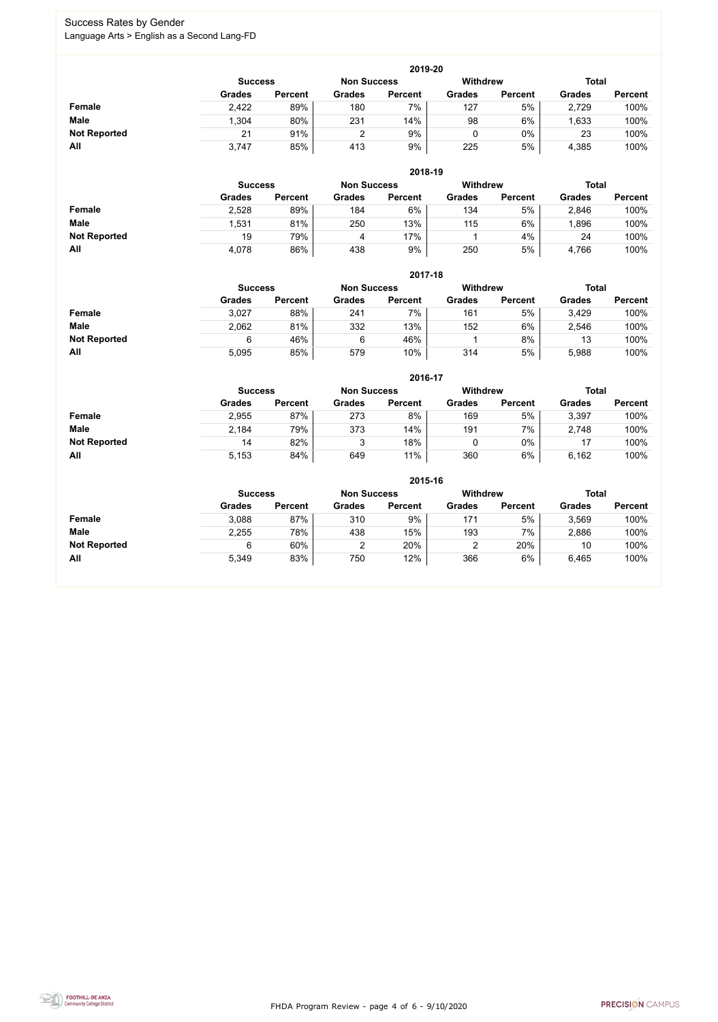FHDA Program Review - page 4 of 6 - 9/10/2020



#### Success Rates by Gender Language Arts > English as a Second Lang-FD

|                     |                                                                         |                |               | 2019-20        |               |                |               |                |  |  |  |
|---------------------|-------------------------------------------------------------------------|----------------|---------------|----------------|---------------|----------------|---------------|----------------|--|--|--|
|                     | <b>Withdrew</b><br><b>Total</b><br><b>Non Success</b><br><b>Success</b> |                |               |                |               |                |               |                |  |  |  |
|                     | <b>Grades</b>                                                           | <b>Percent</b> | <b>Grades</b> | <b>Percent</b> | <b>Grades</b> | <b>Percent</b> | <b>Grades</b> | <b>Percent</b> |  |  |  |
| Female              | 2,422                                                                   | 89%            | 180           | $7\%$          | 127           | 5%             | 2,729         | 100%           |  |  |  |
| <b>Male</b>         | 1,304                                                                   | 80%            | 231           | 14%            | 98            | 6%             | ,633          | 100%           |  |  |  |
| <b>Not Reported</b> | 21                                                                      | 91%            |               | 9%             |               | $0\%$          | 23            | 100%           |  |  |  |
| All                 | 3,747                                                                   | 85%            | 413           | 9%             | 225           | 5%             | 4,385         | 100%           |  |  |  |

|                     |                | 2018-19        |                    |                |               |                |               |                |  |  |  |  |  |  |
|---------------------|----------------|----------------|--------------------|----------------|---------------|----------------|---------------|----------------|--|--|--|--|--|--|
|                     | <b>Success</b> |                | <b>Non Success</b> |                | Withdrew      |                |               | <b>Total</b>   |  |  |  |  |  |  |
|                     | <b>Grades</b>  | <b>Percent</b> | <b>Grades</b>      | <b>Percent</b> | <b>Grades</b> | <b>Percent</b> | <b>Grades</b> | <b>Percent</b> |  |  |  |  |  |  |
| <b>Female</b>       | 2,528          | 89%            | 184                | 6%             | 134           | 5%             | 2,846         | 100%           |  |  |  |  |  |  |
| <b>Male</b>         | ,531           | 81%            | 250                | 13%            | 115           | 6%             | ,896          | 100%           |  |  |  |  |  |  |
| <b>Not Reported</b> | 19             | 79%            | 4                  | 17%            |               | 4%             | 24            | 100%           |  |  |  |  |  |  |
| All                 | 4,078          | 86%            | 438                | 9%             | 250           | 5%             | 4,766         | 100%           |  |  |  |  |  |  |

|                     |               | 2017-18                                                          |               |                |               |                |               |                |  |  |  |  |  |  |
|---------------------|---------------|------------------------------------------------------------------|---------------|----------------|---------------|----------------|---------------|----------------|--|--|--|--|--|--|
|                     |               | Withdrew<br><b>Total</b><br><b>Non Success</b><br><b>Success</b> |               |                |               |                |               |                |  |  |  |  |  |  |
|                     | <b>Grades</b> | <b>Percent</b>                                                   | <b>Grades</b> | <b>Percent</b> | <b>Grades</b> | <b>Percent</b> | <b>Grades</b> | <b>Percent</b> |  |  |  |  |  |  |
| <b>Female</b>       | 3,027         | 88%                                                              | 241           | $7\%$          | 161           | 5%             | 3,429         | 100%           |  |  |  |  |  |  |
| <b>Male</b>         | 2,062         | 81%                                                              | 332           | 13%            | 152           | 6%             | 2,546         | 100%           |  |  |  |  |  |  |
| <b>Not Reported</b> | 6             | 46%                                                              | 6             | 46%            |               | 8%             | 13            | 100%           |  |  |  |  |  |  |
| All                 | 5,095         | 85%                                                              | 579           | 10%            | 314           | 5%             | 5,988         | 100%           |  |  |  |  |  |  |

|                     |               | 2016-17                                                 |               |                |               |                |               |                |  |  |
|---------------------|---------------|---------------------------------------------------------|---------------|----------------|---------------|----------------|---------------|----------------|--|--|
|                     |               | <b>Withdrew</b><br><b>Non Success</b><br><b>Success</b> |               |                |               |                |               | <b>Total</b>   |  |  |
|                     | <b>Grades</b> | <b>Percent</b>                                          | <b>Grades</b> | <b>Percent</b> | <b>Grades</b> | <b>Percent</b> | <b>Grades</b> | <b>Percent</b> |  |  |
| <b>Female</b>       | 2,955         | 87%                                                     | 273           | 8%             | 169           | 5%             | 3,397         | 100%           |  |  |
| <b>Male</b>         | 2,184         | 79%                                                     | 373           | 14%            | 191           | 7%             | 2,748         | 100%           |  |  |
| <b>Not Reported</b> | 14            | 82%                                                     |               | 18%            |               | $0\%$          | 17            | 100%           |  |  |
| All                 | 5,153         | 84%                                                     | 649           | 11%            | 360           | 6%             | 6,162         | 100%           |  |  |

|                     | 2015-16                                                          |                |               |                |               |                |               |                |  |
|---------------------|------------------------------------------------------------------|----------------|---------------|----------------|---------------|----------------|---------------|----------------|--|
|                     | <b>Total</b><br>Withdrew<br><b>Non Success</b><br><b>Success</b> |                |               |                |               |                |               |                |  |
|                     | <b>Grades</b>                                                    | <b>Percent</b> | <b>Grades</b> | <b>Percent</b> | <b>Grades</b> | <b>Percent</b> | <b>Grades</b> | <b>Percent</b> |  |
| Female              | 3,088                                                            | 87%            | 310           | 9%             | 171           | 5%             | 3,569         | 100%           |  |
| <b>Male</b>         | 2,255                                                            | 78%            | 438           | 15%            | 193           | 7%             | 2,886         | 100%           |  |
| <b>Not Reported</b> | 6                                                                | 60%            | 2             | 20%            |               | 20%            | 10            | 100%           |  |
| All                 | 5,349                                                            | 83%            | 750           | 12%            | 366           | 6%             | 6,465         | 100%           |  |

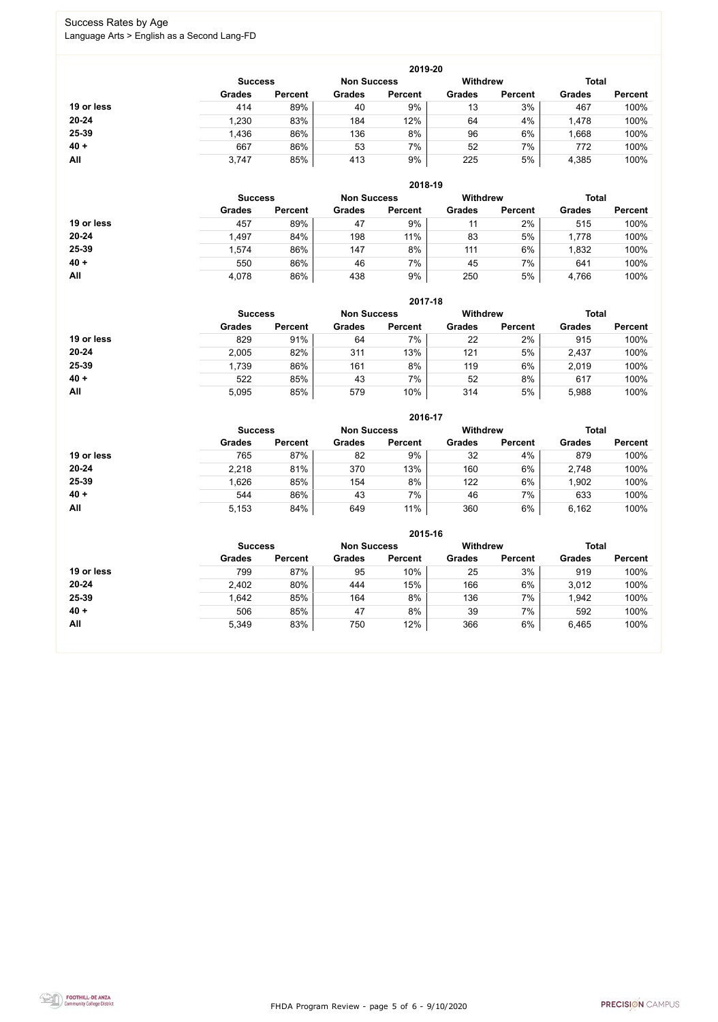FHDA Program Review - page 5 of 6 - 9/10/2020



### Success Rates by Age Language Arts > English as a Second Lang-FD

|            | 2019-20        |                    |               |                 |               |                |               |                |  |  |
|------------|----------------|--------------------|---------------|-----------------|---------------|----------------|---------------|----------------|--|--|
|            | <b>Success</b> | <b>Non Success</b> |               | <b>Withdrew</b> |               | <b>Total</b>   |               |                |  |  |
|            | <b>Grades</b>  | <b>Percent</b>     | <b>Grades</b> | <b>Percent</b>  | <b>Grades</b> | <b>Percent</b> | <b>Grades</b> | <b>Percent</b> |  |  |
| 19 or less | 414            | 89%                | 40            | 9%              | 13            | 3%             | 467           | 100%           |  |  |
| $20 - 24$  | 1,230          | 83%                | 184           | 12%             | 64            | 4%             | 1,478         | 100%           |  |  |
| 25-39      | 1,436          | 86%                | 136           | 8%              | 96            | 6%             | .668          | 100%           |  |  |
| $40 +$     | 667            | 86%                | 53            | 7%              | 52            | 7%             | 772           | 100%           |  |  |
| All        | 3,747          | 85%                | 413           | 9%              | 225           | 5%             | 4,385         | 100%           |  |  |

|            |                |                    |               | 2018-19         |               |                |               |                |
|------------|----------------|--------------------|---------------|-----------------|---------------|----------------|---------------|----------------|
|            | <b>Success</b> | <b>Non Success</b> |               | <b>Withdrew</b> |               | <b>Total</b>   |               |                |
|            | <b>Grades</b>  | <b>Percent</b>     | <b>Grades</b> | <b>Percent</b>  | <b>Grades</b> | <b>Percent</b> | <b>Grades</b> | <b>Percent</b> |
| 19 or less | 457            | 89%                | 47            | 9%              | 11            | 2%             | 515           | 100%           |
| $20 - 24$  | 1,497          | 84%                | 198           | 11%             | 83            | 5%             | 1,778         | 100%           |
| 25-39      | 1,574          | 86%                | 147           | 8%              | 111           | 6%             | 1,832         | 100%           |
| $40 +$     | 550            | 86%                | 46            | 7%              | 45            | 7%             | 641           | 100%           |
| All        | 4,078          | 86%                | 438           | 9%              | 250           | 5%             | 4,766         | 100%           |

|            | 2017-18                                                 |                |               |                |               |                |               |                |  |
|------------|---------------------------------------------------------|----------------|---------------|----------------|---------------|----------------|---------------|----------------|--|
|            | <b>Withdrew</b><br><b>Non Success</b><br><b>Success</b> |                |               |                |               |                | <b>Total</b>  |                |  |
|            | <b>Grades</b>                                           | <b>Percent</b> | <b>Grades</b> | <b>Percent</b> | <b>Grades</b> | <b>Percent</b> | <b>Grades</b> | <b>Percent</b> |  |
| 19 or less | 829                                                     | 91%            | 64            | 7%             | 22            | 2%             | 915           | 100%           |  |
| $20 - 24$  | 2,005                                                   | 82%            | 311           | 13%            | 121           | 5%             | 2,437         | 100%           |  |
| 25-39      | 1,739                                                   | 86%            | 161           | 8%             | 119           | 6%             | 2,019         | 100%           |  |
| $40 +$     | 522                                                     | 85%            | 43            | 7%             | 52            | 8%             | 617           | 100%           |  |
| All        | 5,095                                                   | 85%            | 579           | 10%            | 314           | 5%             | 5,988         | 100%           |  |

|            | 2016-17        |                    |               |                 |               |                |               |                |  |  |
|------------|----------------|--------------------|---------------|-----------------|---------------|----------------|---------------|----------------|--|--|
|            | <b>Success</b> | <b>Non Success</b> |               | <b>Withdrew</b> |               | <b>Total</b>   |               |                |  |  |
|            | <b>Grades</b>  | <b>Percent</b>     | <b>Grades</b> | <b>Percent</b>  | <b>Grades</b> | <b>Percent</b> | <b>Grades</b> | <b>Percent</b> |  |  |
| 19 or less | 765            | 87%                | 82            | 9%              | 32            | 4%             | 879           | 100%           |  |  |
| $20 - 24$  | 2,218          | 81%                | 370           | 13%             | 160           | 6%             | 2,748         | 100%           |  |  |
| 25-39      | .626           | 85%                | 154           | 8%              | 122           | 6%             | 1,902         | 100%           |  |  |
| $40 +$     | 544            | 86%                | 43            | 7%              | 46            | 7%             | 633           | 100%           |  |  |
| All        | 5,153          | 84%                | 649           | 11%             | 360           | 6%             | 6,162         | 100%           |  |  |

|            | 2015-16                                                 |                |               |                |               |                |               |                |  |  |
|------------|---------------------------------------------------------|----------------|---------------|----------------|---------------|----------------|---------------|----------------|--|--|
|            | <b>Withdrew</b><br><b>Non Success</b><br><b>Success</b> |                |               |                |               |                |               | <b>Total</b>   |  |  |
|            | <b>Grades</b>                                           | <b>Percent</b> | <b>Grades</b> | <b>Percent</b> | <b>Grades</b> | <b>Percent</b> | <b>Grades</b> | <b>Percent</b> |  |  |
| 19 or less | 799                                                     | 87%            | 95            | 10%            | 25            | 3%             | 919           | 100%           |  |  |
| $20 - 24$  | 2,402                                                   | 80%            | 444           | 15%            | 166           | 6%             | 3,012         | 100%           |  |  |
| 25-39      | 1,642                                                   | 85%            | 164           | 8%             | 136           | 7%             | 1,942         | 100%           |  |  |
| $40 +$     | 506                                                     | 85%            | 47            | 8%             | 39            | 7%             | 592           | 100%           |  |  |
| All        | 5,349                                                   | 83%            | 750           | 12%            | 366           | 6%             | 6,465         | 100%           |  |  |